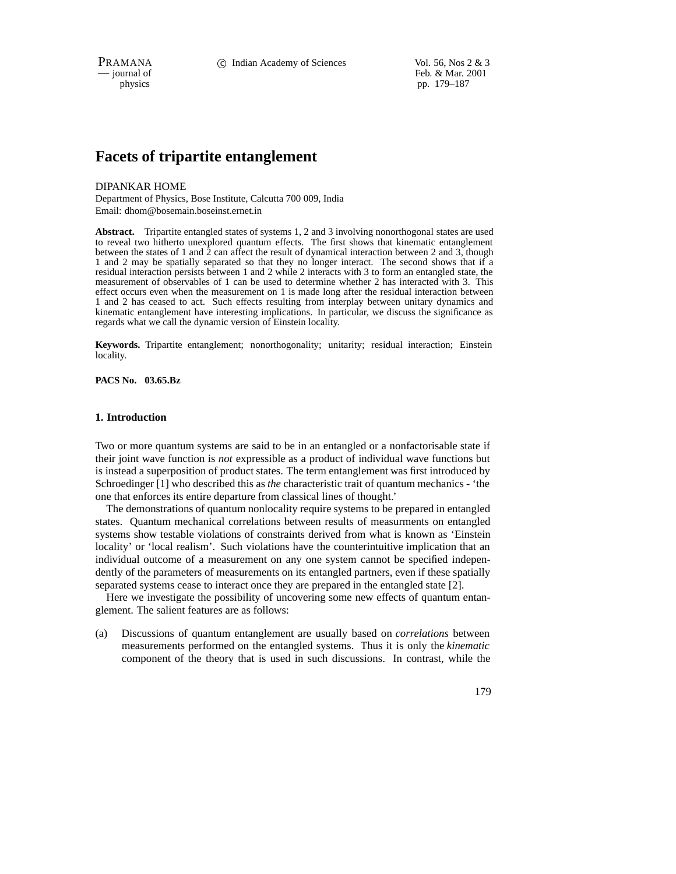PRAMANA 
<sup>c</sup> Indian Academy of Sciences Vol. 56, Nos 2 & 3<br>
c iournal of Feb. & Mar. 2001 Feb. & Mar. 2001 physics pp. 179–187

# **Facets of tripartite entanglement**

### DIPANKAR HOME

Department of Physics, Bose Institute, Calcutta 700 009, India Email: dhom@bosemain.boseinst.ernet.in

**Abstract.** Tripartite entangled states of systems 1, 2 and 3 involving nonorthogonal states are used to reveal two hitherto unexplored quantum effects. The first shows that kinematic entanglement between the states of 1 and 2 can affect the result of dynamical interaction between 2 and 3, though 1 and 2 may be spatially separated so that they no longer interact. The second shows that if a residual interaction persists between 1 and 2 while 2 interacts with 3 to form an entangled state, the measurement of observables of 1 can be used to determine whether 2 has interacted with 3. This effect occurs even when the measurement on 1 is made long after the residual interaction between 1 and 2 has ceased to act. Such effects resulting from interplay between unitary dynamics and kinematic entanglement have interesting implications. In particular, we discuss the significance as regards what we call the dynamic version of Einstein locality.

**Keywords.** Tripartite entanglement; nonorthogonality; unitarity; residual interaction; Einstein locality.

**PACS No. 03.65.Bz**

### **1. Introduction**

Two or more quantum systems are said to be in an entangled or a nonfactorisable state if their joint wave function is *not* expressible as a product of individual wave functions but is instead a superposition of product states. The term entanglement was first introduced by Schroedinger [1] who described this as *the* characteristic trait of quantum mechanics - 'the one that enforces its entire departure from classical lines of thought.'

The demonstrations of quantum nonlocality require systems to be prepared in entangled states. Quantum mechanical correlations between results of measurments on entangled systems show testable violations of constraints derived from what is known as 'Einstein locality' or 'local realism'. Such violations have the counterintuitive implication that an individual outcome of a measurement on any one system cannot be specified independently of the parameters of measurements on its entangled partners, even if these spatially separated systems cease to interact once they are prepared in the entangled state [2].

Here we investigate the possibility of uncovering some new effects of quantum entanglement. The salient features are as follows:

(a) Discussions of quantum entanglement are usually based on *correlations* between measurements performed on the entangled systems. Thus it is only the *kinematic* component of the theory that is used in such discussions. In contrast, while the

179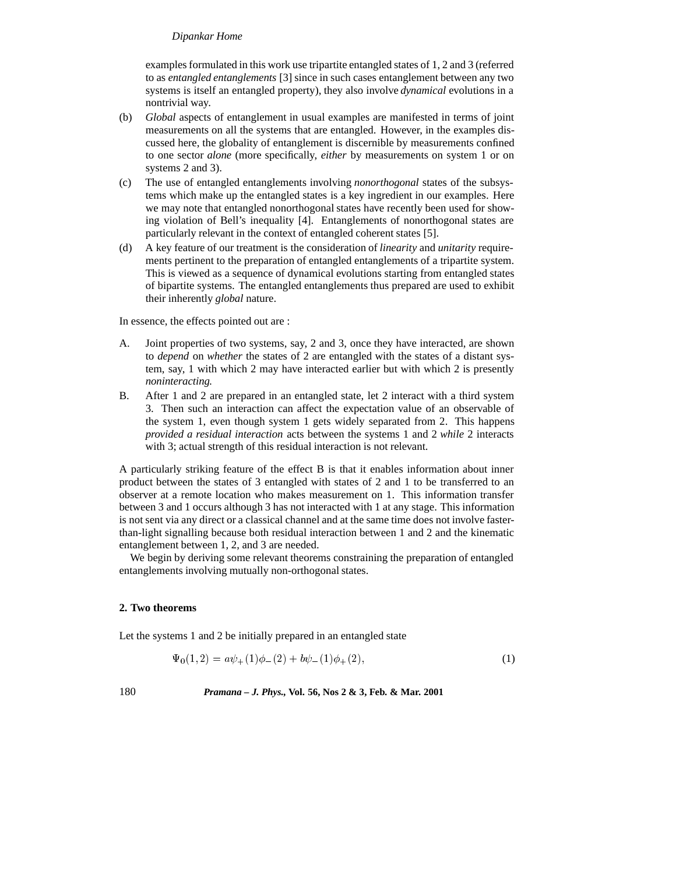# *Dipankar Home*

examples formulated in this work use tripartite entangled states of 1, 2 and 3 (referred to as *entangled entanglements* [3] since in such cases entanglement between any two systems is itself an entangled property), they also involve *dynamical* evolutions in a nontrivial way.

- (b) *Global* aspects of entanglement in usual examples are manifested in terms of joint measurements on all the systems that are entangled. However, in the examples discussed here, the globality of entanglement is discernible by measurements confined to one sector *alone* (more specifically, *either* by measurements on system 1 or on systems 2 and 3).
- (c) The use of entangled entanglements involving *nonorthogonal* states of the subsystems which make up the entangled states is a key ingredient in our examples. Here we may note that entangled nonorthogonal states have recently been used for showing violation of Bell's inequality [4]. Entanglements of nonorthogonal states are particularly relevant in the context of entangled coherent states [5].
- (d) A key feature of our treatment is the consideration of *linearity* and *unitarity* requirements pertinent to the preparation of entangled entanglements of a tripartite system. This is viewed as a sequence of dynamical evolutions starting from entangled states of bipartite systems. The entangled entanglements thus prepared are used to exhibit their inherently *global* nature.

In essence, the effects pointed out are :

- A. Joint properties of two systems, say, 2 and 3, once they have interacted, are shown to *depend* on *whether* the states of 2 are entangled with the states of a distant system, say, 1 with which 2 may have interacted earlier but with which 2 is presently *noninteracting.*
- B. After 1 and 2 are prepared in an entangled state, let 2 interact with a third system 3. Then such an interaction can affect the expectation value of an observable of the system 1, even though system 1 gets widely separated from 2. This happens *provided a residual interaction* acts between the systems 1 and 2 *while* 2 interacts with 3; actual strength of this residual interaction is not relevant.

A particularly striking feature of the effect B is that it enables information about inner product between the states of 3 entangled with states of 2 and 1 to be transferred to an observer at a remote location who makes measurement on 1. This information transfer between 3 and 1 occurs although 3 has not interacted with 1 at any stage. This information is not sent via any direct or a classical channel and at the same time does not involve fasterthan-light signalling because both residual interaction between 1 and 2 and the kinematic entanglement between 1, 2, and 3 are needed.

We begin by deriving some relevant theorems constraining the preparation of entangled entanglements involving mutually non-orthogonal states.

# **2. Two theorems**

Let the systems 1 and 2 be initially prepared in an entangled state

$$
\Psi_0(1,2) = a\psi_+(1)\phi_-(2) + b\psi_-(1)\phi_+(2),\tag{1}
$$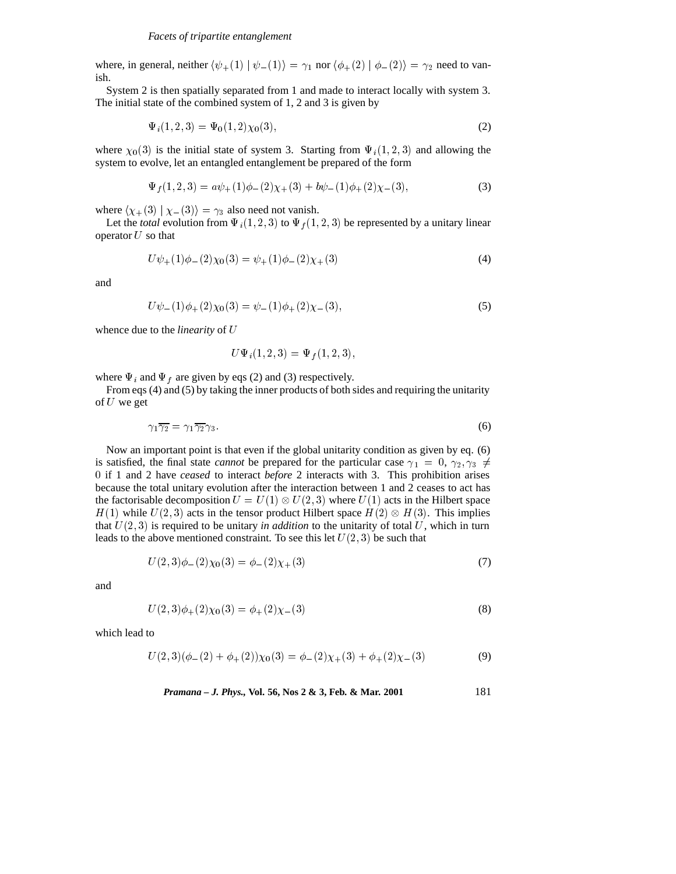where, in general, neither  $\langle \psi_+(1) | \psi_-(1) \rangle = \gamma_1$  nor  $\langle \phi_+(2) | \phi_-(2) \rangle = \gamma_2$  need to vanish.

System 2 is then spatially separated from 1 and made to interact locally with system 3. The initial state of the combined system of 1, 2 and 3 is given by

$$
\Psi_i(1,2,3) = \Psi_0(1,2)\chi_0(3),\tag{2}
$$

where  $\chi_0(3)$  is the initial state of system 3. Starting from  $\Psi_i(1, 2, 3)$  and allowing the system to evolve, let an entangled entanglement be prepared of the form

$$
\Psi_f(1,2,3) = a\psi_+(1)\phi_-(2)\chi_+(3) + b\psi_-(1)\phi_+(2)\chi_-(3),\tag{3}
$$

where  $\langle \chi_+(3) | \chi_-(3) \rangle = \gamma_3$  also need not vanish.

Let the *total* evolution from  $\Psi_i(1,2,3)$  to  $\Psi_f(1,2,3)$  be represented by a unitary linear operator  $U$  so that

$$
U\psi_{+}(1)\phi_{-}(2)\chi_{0}(3) = \psi_{+}(1)\phi_{-}(2)\chi_{+}(3)
$$
\n(4)

and

$$
U\psi_{-}(1)\phi_{+}(2)\chi_{0}(3)=\psi_{-}(1)\phi_{+}(2)\chi_{-}(3), \qquad (5)
$$

whence due to the *linearity* of <sup>U</sup>

$$
U\Psi_i(1,2,3) = \Psi_f(1,2,3),
$$

where  $\Psi_i$  and  $\Psi_f$  are given by eqs (2) and (3) respectively.

From eqs (4) and (5) by taking the inner products of both sides and requiring the unitarity of  $U$  we get

$$
\gamma_1 \overline{\gamma_2} = \gamma_1 \overline{\gamma_2} \gamma_3. \tag{6}
$$

Now an important point is that even if the global unitarity condition as given by eq. (6) is satisfied, the final state *cannot* be prepared for the particular case  $\gamma_1 = 0, \gamma_2, \gamma_3 \neq 0$ <sup>0</sup> if 1 and 2 have *ceased* to interact *before* 2 interacts with 3. This prohibition arises because the total unitary evolution after the interaction between 1 and 2 ceases to act has the factorisable decomposition  $U = U(1) \otimes U(2,3)$  where  $U(1)$  acts in the Hilbert space  $H(1)$  while  $U(2,3)$  acts in the tensor product Hilbert space  $H(2) \otimes H(3)$ . This implies that  $U(2, 3)$  is required to be unitary *in addition* to the unitarity of total U, which in turn leads to the above mentioned constraint. To see this let  $U(2, 3)$  be such that

$$
U(2,3)\phi_{-}(2)\chi_{0}(3) = \phi_{-}(2)\chi_{+}(3)
$$
\n(7)

and

$$
U(2,3)\phi_{+}(2)\chi_{0}(3) = \phi_{+}(2)\chi_{-}(3)
$$
\n(8)

which lead to

$$
U(2,3)(\phi_{-}(2) + \phi_{+}(2))\chi_{0}(3) = \phi_{-}(2)\chi_{+}(3) + \phi_{+}(2)\chi_{-}(3)
$$
\n(9)

*Pramana – J. Phys.,* **Vol. 56, Nos 2 & 3, Feb. & Mar. 2001** 181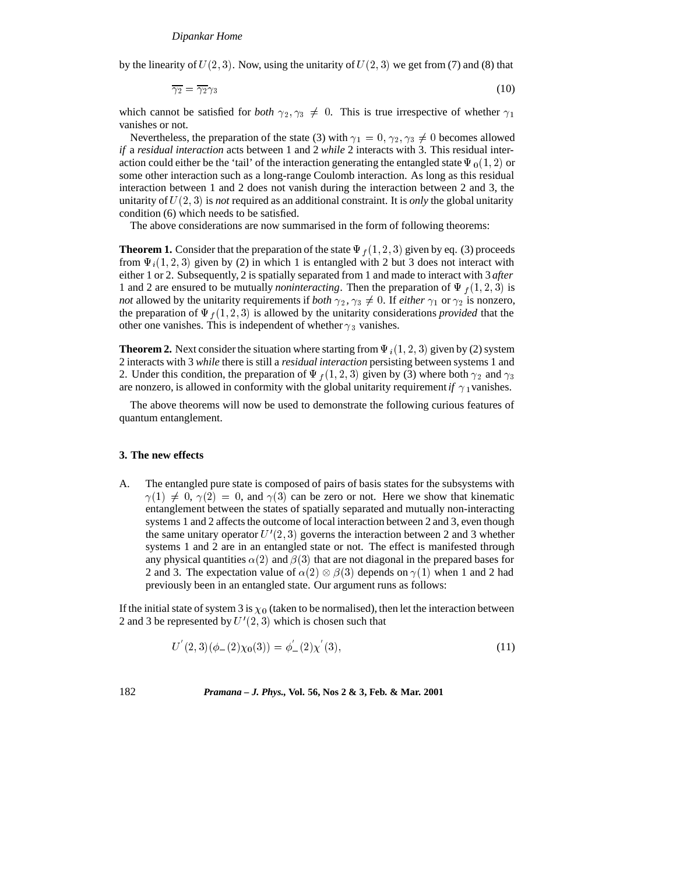by the linearity of  $U(2, 3)$ . Now, using the unitarity of  $U(2, 3)$  we get from (7) and (8) that

$$
\overline{\gamma_2} = \overline{\gamma_2} \gamma_3 \tag{10}
$$

which cannot be satisfied for *both*  $\gamma_2, \gamma_3 \neq 0$ . This is true irrespective of whether  $\gamma_1$ vanishes or not.

Nevertheless, the preparation of the state (3) with  $\gamma_1 = 0, \gamma_2, \gamma_3 \neq 0$  becomes allowed *if* a *residual interaction* acts between 1 and 2 *while* 2 interacts with 3. This residual interaction could either be the 'tail' of the interaction generating the entangled state  $\Psi_0(1, 2)$  or some other interaction such as a long-range Coulomb interaction. As long as this residual interaction between 1 and 2 does not vanish during the interaction between 2 and 3, the unitarity of U(2; 3) is *not* required as an additional constraint. It is *only* the global unitarity condition (6) which needs to be satisfied.

The above considerations are now summarised in the form of following theorems:

**Theorem 1.** Consider that the preparation of the state  $\Psi_f$  (1, 2, 3) given by eq. (3) proceeds from  $\Psi_i(1, 2, 3)$  given by (2) in which 1 is entangled with 2 but 3 does not interact with either 1 or 2. Subsequently, 2 is spatially separated from 1 and made to interact with 3 *after* 1 and 2 are ensured to be mutually *noninteracting*. Then the preparation of  $\Psi_f(1,2,3)$  is *not* allowed by the unitarity requirements if *both*  $\gamma_2$ ,  $\gamma_3 \neq 0$ . If *either*  $\gamma_1$  or  $\gamma_2$  is nonzero, the preparation of  $\Psi_f (1, 2, 3)$  is allowed by the unitarity considerations *provided* that the other one vanishes. This is independent of whether  $\gamma_3$  vanishes.

**Theorem 2.** Next consider the situation where starting from  $\Psi_i(1, 2, 3)$  given by (2) system 2 interacts with 3 *while* there is still a *residual interaction* persisting between systems 1 and 2. Under this condition, the preparation of  $\Psi_f$  (1, 2, 3) given by (3) where both  $\gamma_2$  and  $\gamma_3$ are nonzero, is allowed in conformity with the global unitarity requirement *if*  $\gamma_1$  vanishes.

The above theorems will now be used to demonstrate the following curious features of quantum entanglement.

## **3. The new effects**

A. The entangled pure state is composed of pairs of basis states for the subsystems with  $\gamma(1) \neq 0, \gamma(2) = 0$ , and  $\gamma(3)$  can be zero or not. Here we show that kinematic entanglement between the states of spatially separated and mutually non-interacting systems 1 and 2 affects the outcome of local interaction between 2 and 3, even though the same unitary operator  $U'(2, 3)$  governs the interaction between 2 and 3 whether systems 1 and 2 are in an entangled state or not. The effect is manifested through any physical quantities  $\alpha(2)$  and  $\beta(3)$  that are not diagonal in the prepared bases for 2 and 3. The expectation value of  $\alpha(2) \otimes \beta(3)$  depends on  $\gamma(1)$  when 1 and 2 had previously been in an entangled state. Our argument runs as follows:

If the initial state of system 3 is  $\chi_0$  (taken to be normalised), then let the interaction between 2 and 3 be represented by  $U'(2, 3)$  which is chosen such that

$$
U^{'}(2,3)(\phi_{-}(2)\chi_{0}(3)) = \phi_{-}'(2)\chi^{'}(3), \qquad (11)
$$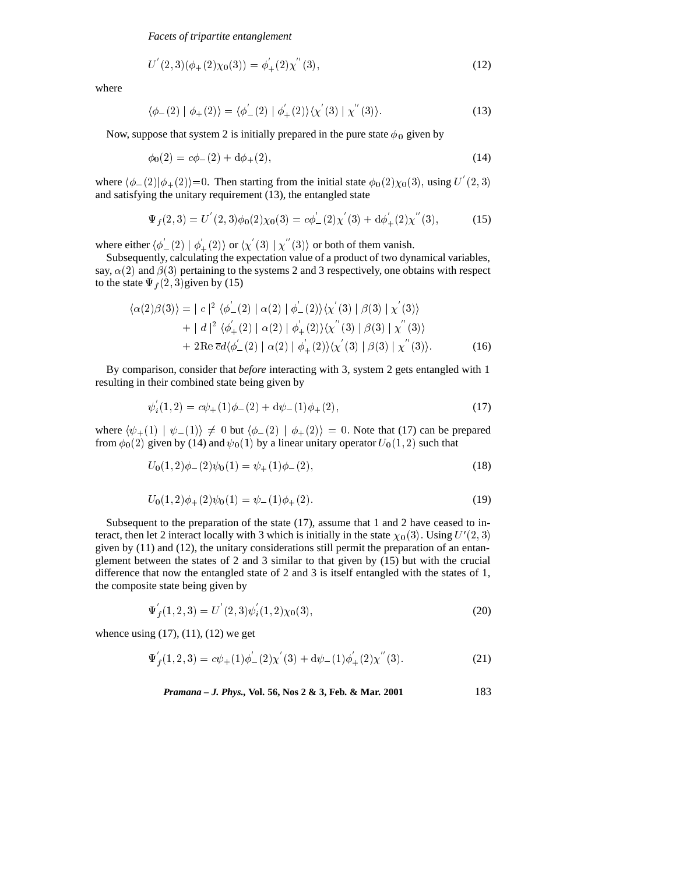*Facets of tripartite entanglement*

$$
U^{'}(2,3)(\phi_{+}(2)\chi_{0}(3)) = \phi_{+}^{'}(2)\chi^{''}(3), \qquad (12)
$$

where

$$
\langle \phi_{-}(2) | \phi_{+}(2) \rangle = \langle \phi_{-}^{'}(2) | \phi_{+}^{'}(2) \rangle \langle \chi^{'}(3) | \chi^{''}(3) \rangle. \tag{13}
$$

Now, suppose that system 2 is initially prepared in the pure state  $\phi_0$  given by

$$
\phi_0(2) = c\phi_-(2) + d\phi_+(2),\tag{14}
$$

where  $\langle \phi_-(2)|\phi_+(2)\rangle$  =0. Then starting from the initial state  $\phi_0(2)\chi_0(3)$ , using U'  $(2, 3)$ and satisfying the unitary requirement (13), the entangled state

$$
\Psi_f(2,3) = U^{'}(2,3)\phi_0(2)\chi_0(3) = c\phi_-'(2)\chi^{'}(3) + d\phi_+'(2)\chi^{''}(3),\tag{15}
$$

where either  $\langle \phi_-(2) | \phi_+(2) \rangle$  or  $\langle \chi_-(3) | \chi_-(3) \rangle$  or both of them vanish.

Subsequently, calculating the expectation value of a product of two dynamical variables, say,  $\alpha(2)$  and  $\beta(3)$  pertaining to the systems 2 and 3 respectively, one obtains with respect to the state  $\Psi_f (2, 3)$ given by (15)

$$
\langle \alpha(2)\beta(3)\rangle = |c|^2 \langle \phi_-'(2) | \alpha(2) | \phi_-'(2)\rangle \langle \chi'(3) | \beta(3) | \chi'(3)\rangle + |d|^2 \langle \phi_+'(2) | \alpha(2) | \phi_+'(2)\rangle \langle \chi''(3) | \beta(3) | \chi''(3)\rangle + 2\text{Re } \overline{c}d\langle \phi_-'(2) | \alpha(2) | \phi_+'(2)\rangle \langle \chi'(3) | \beta(3) | \chi''(3)\rangle.
$$
 (16)

By comparison, consider that *before* interacting with 3, system 2 gets entangled with 1 resulting in their combined state being given by

$$
\psi_i(1,2) = c\psi_+(1)\phi_-(2) + d\psi_-(1)\phi_+(2),\tag{17}
$$

where  $\langle \psi_+(1) | \psi_-(1) \rangle \neq 0$  but  $\langle \phi_-(2) | \phi_+(2) \rangle = 0$ . Note that (17) can be prepared from  $\phi_0(2)$  given by (14) and  $\psi_0(1)$  by a linear unitary operator  $U_0(1, 2)$  such that

$$
U_0(1,2)\phi_-(2)\psi_0(1) = \psi_+(1)\phi_-(2),\tag{18}
$$

$$
U_0(1,2)\phi_+(2)\psi_0(1) = \psi_-(1)\phi_+(2). \tag{19}
$$

Subsequent to the preparation of the state (17), assume that 1 and 2 have ceased to interact, then let 2 interact locally with 3 which is initially in the state  $\chi_0(3)$ . Using  $U'(2, 3)$ given by  $(11)$  and  $(12)$ , the unitary considerations still permit the preparation of an entanglement between the states of 2 and 3 similar to that given by (15) but with the crucial difference that now the entangled state of 2 and 3 is itself entangled with the states of 1, the composite state being given by

$$
\Psi'_{f}(1,2,3) = U^{'}(2,3)\psi'_{i}(1,2)\chi_{0}(3),\tag{20}
$$

whence using  $(17)$ ,  $(11)$ ,  $(12)$  we get

$$
\Psi_{f}'(1,2,3) = c\psi_{+}(1)\phi_{-}'(2)\chi_{-}'(3) + d\psi_{-}(1)\phi_{+}'(2)\chi_{-}'(3). \tag{21}
$$

*Pramana – J. Phys.,* **Vol. 56, Nos 2 & 3, Feb. & Mar. 2001** 183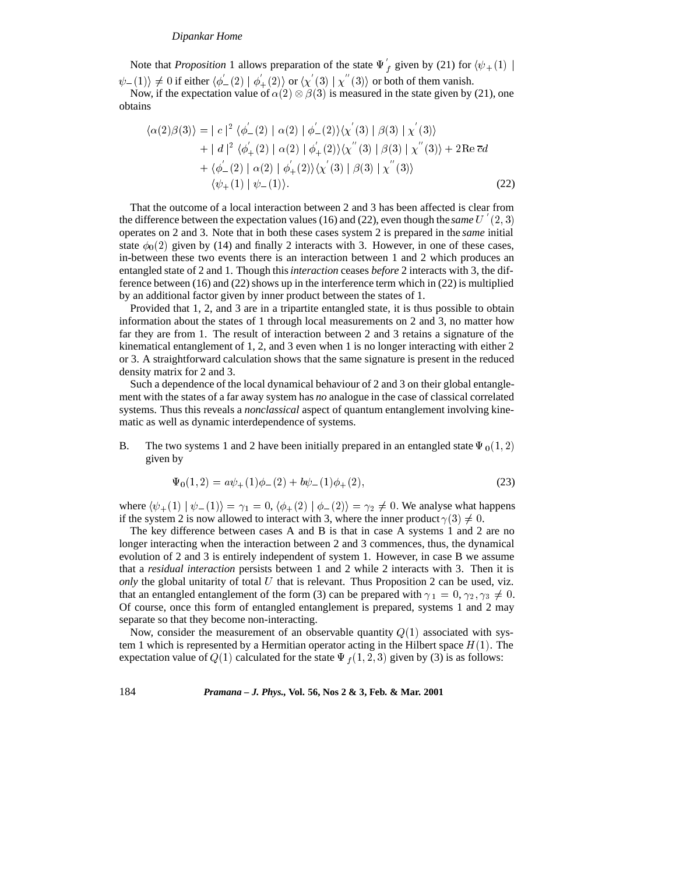#### *Dipankar Home*

Note that *Proposition* 1 allows preparation of the state  $\Psi_f$  given by (21) for  $\langle \psi_+(1) |$  $\psi_{-}(1)\rangle \neq 0$  if either  $\langle \phi_{-}'(2) | \phi_{+}'(2) \rangle$  or  $\langle \chi'(3) | \chi''(3) \rangle$  or both of them vanish.

Now, if the expectation value of  $\alpha(2) \otimes \beta(3)$  is measured in the state given by (21), one obtains

$$
\langle \alpha(2)\beta(3)\rangle = |c|^2 \langle \phi_-'(2) | \alpha(2) | \phi_-'(2)\rangle \langle \chi'(3) | \beta(3) | \chi'(3)\rangle + |d|^2 \langle \phi_+'(2) | \alpha(2) | \phi_+'(2)\rangle \langle \chi''(3) | \beta(3) | \chi''(3)\rangle + 2 \text{Re } \overline{c}d + \langle \phi_-'(2) | \alpha(2) | \phi_+'(2)\rangle \langle \chi'(3) | \beta(3) | \chi''(3)\rangle \langle \psi_+(1) | \psi_-(1)\rangle.
$$
 (22)

That the outcome of a local interaction between 2 and 3 has been affected is clear from the difference between the expectation values  $(16)$  and  $(22)$ , even though the *same*  $U'(2,3)$ operates on 2 and 3. Note that in both these cases system 2 is prepared in the *same* initial state  $\phi_0(2)$  given by (14) and finally 2 interacts with 3. However, in one of these cases, in-between these two events there is an interaction between 1 and 2 which produces an entangled state of 2 and 1. Though this*interaction* ceases *before* 2 interacts with 3, the difference between (16) and (22) shows up in the interference term which in (22) is multiplied by an additional factor given by inner product between the states of 1.

Provided that 1, 2, and 3 are in a tripartite entangled state, it is thus possible to obtain information about the states of 1 through local measurements on 2 and 3, no matter how far they are from 1. The result of interaction between 2 and 3 retains a signature of the kinematical entanglement of 1, 2, and 3 even when 1 is no longer interacting with either 2 or 3. A straightforward calculation shows that the same signature is present in the reduced density matrix for 2 and 3.

Such a dependence of the local dynamical behaviour of 2 and 3 on their global entanglement with the states of a far away system has *no* analogue in the case of classical correlated systems. Thus this reveals a *nonclassical* aspect of quantum entanglement involving kinematic as well as dynamic interdependence of systems.

B. The two systems 1 and 2 have been initially prepared in an entangled state  $\Psi_0(1,2)$ given by

$$
\Psi_0(1,2) = a\psi_+(1)\phi_-(2) + b\psi_-(1)\phi_+(2),\tag{23}
$$

where  $\langle \psi_+(1) | \psi_-(1) \rangle = \gamma_1 = 0, \langle \phi_+(2) | \phi_-(2) \rangle = \gamma_2 \neq 0$ . We analyse what happens if the system 2 is now allowed to interact with 3, where the inner product  $\gamma(3) \neq 0$ .

The key difference between cases A and B is that in case A systems 1 and 2 are no longer interacting when the interaction between 2 and 3 commences, thus, the dynamical evolution of 2 and 3 is entirely independent of system 1. However, in case B we assume that a *residual interaction* persists between 1 and 2 while 2 interacts with 3. Then it is *only* the global unitarity of total  $U$  that is relevant. Thus Proposition 2 can be used, viz. that an entangled entanglement of the form (3) can be prepared with  $\gamma_1 = 0$ ,  $\gamma_2, \gamma_3 \neq 0$ . Of course, once this form of entangled entanglement is prepared, systems 1 and 2 may separate so that they become non-interacting.

Now, consider the measurement of an observable quantity  $Q(1)$  associated with system 1 which is represented by a Hermitian operator acting in the Hilbert space  $H(1)$ . The expectation value of  $Q(1)$  calculated for the state  $\Psi_f (1, 2, 3)$  given by (3) is as follows: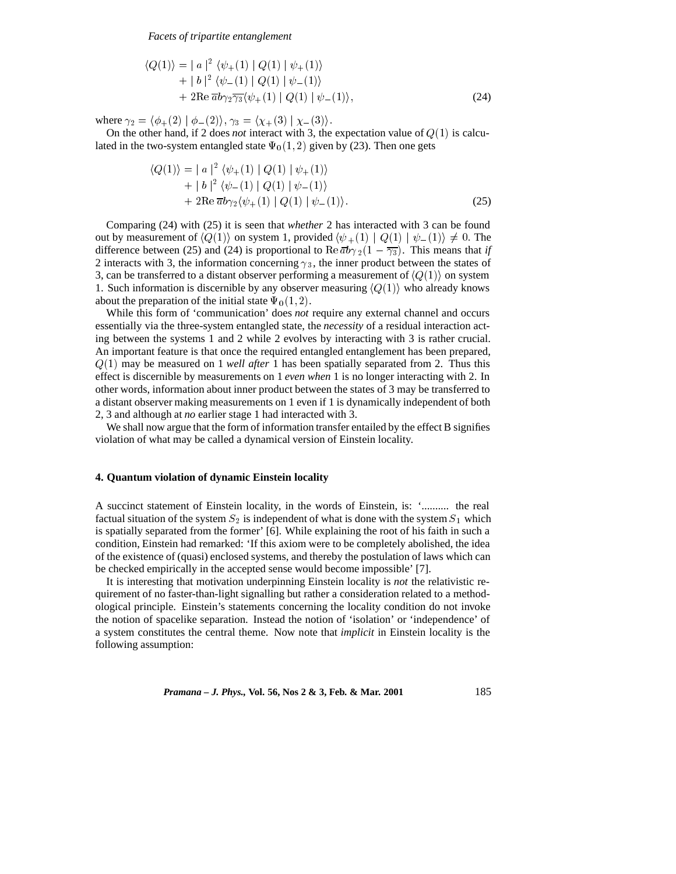*Facets of tripartite entanglement*

$$
\langle Q(1) \rangle = | a |^2 \langle \psi_+(1) | Q(1) | \psi_+(1) \rangle + | b |^2 \langle \psi_-(1) | Q(1) | \psi_-(1) \rangle + 2 \text{Re } \overline{a} b \gamma_2 \overline{\gamma_3} \langle \psi_+(1) | Q(1) | \psi_-(1) \rangle,
$$
(24)

where  $\gamma_2 = \langle \phi_+(2) | \phi_-(2) \rangle$ ,  $\gamma_3 = \langle \chi_+(3) | \chi_-(3) \rangle$ .

On the other hand, if 2 does *not* interact with 3, the expectation value of  $Q(1)$  is calculated in the two-system entangled state  $\Psi_0(1, 2)$  given by (23). Then one gets

$$
\langle Q(1) \rangle = | a |^2 \langle \psi_+(1) | Q(1) | \psi_+(1) \rangle + | b |^2 \langle \psi_-(1) | Q(1) | \psi_-(1) \rangle + 2 \text{Re } \overline{a} b \gamma_2 \langle \psi_+(1) | Q(1) | \psi_-(1) \rangle.
$$
 (25)

Comparing (24) with (25) it is seen that *whether* 2 has interacted with 3 can be found out by measurement of  $\langle Q(1)\rangle$  on system 1, provided  $\langle \psi_+(1) | Q(1) | \psi_-(1)\rangle \neq 0$ . The difference between (25) and (24) is proportional to Re  $\overline{a}b\gamma_2(1-\overline{\gamma_3})$ . This means that *if* 2 interacts with 3, the information concerning  $\gamma_3$ , the inner product between the states of 3, can be transferred to a distant observer performing a measurement of  $\langle Q(1) \rangle$  on system 1. Such information is discernible by any observer measuring  $\langle Q(1) \rangle$  who already knows about the preparation of the initial state  $\Psi_0(1, 2)$ .

While this form of 'communication' does *not* require any external channel and occurs essentially via the three-system entangled state, the *necessity* of a residual interaction acting between the systems 1 and 2 while 2 evolves by interacting with 3 is rather crucial. An important feature is that once the required entangled entanglement has been prepared, Q(1) may be measured on 1 *well after* 1 has been spatially separated from 2. Thus this effect is discernible by measurements on 1 *even when* 1 is no longer interacting with 2. In other words, information about inner product between the states of 3 may be transferred to a distant observer making measurements on 1 even if 1 is dynamically independent of both 2, 3 and although at *no* earlier stage 1 had interacted with 3.

We shall now argue that the form of information transfer entailed by the effect B signifies violation of what may be called a dynamical version of Einstein locality.

# **4. Quantum violation of dynamic Einstein locality**

A succinct statement of Einstein locality, in the words of Einstein, is: '.......... the real factual situation of the system  $S_2$  is independent of what is done with the system  $S_1$  which is spatially separated from the former' [6]. While explaining the root of his faith in such a condition, Einstein had remarked: 'If this axiom were to be completely abolished, the idea of the existence of (quasi) enclosed systems, and thereby the postulation of laws which can be checked empirically in the accepted sense would become impossible' [7].

It is interesting that motivation underpinning Einstein locality is *not* the relativistic requirement of no faster-than-light signalling but rather a consideration related to a methodological principle. Einstein's statements concerning the locality condition do not invoke the notion of spacelike separation. Instead the notion of 'isolation' or 'independence' of a system constitutes the central theme. Now note that *implicit* in Einstein locality is the following assumption: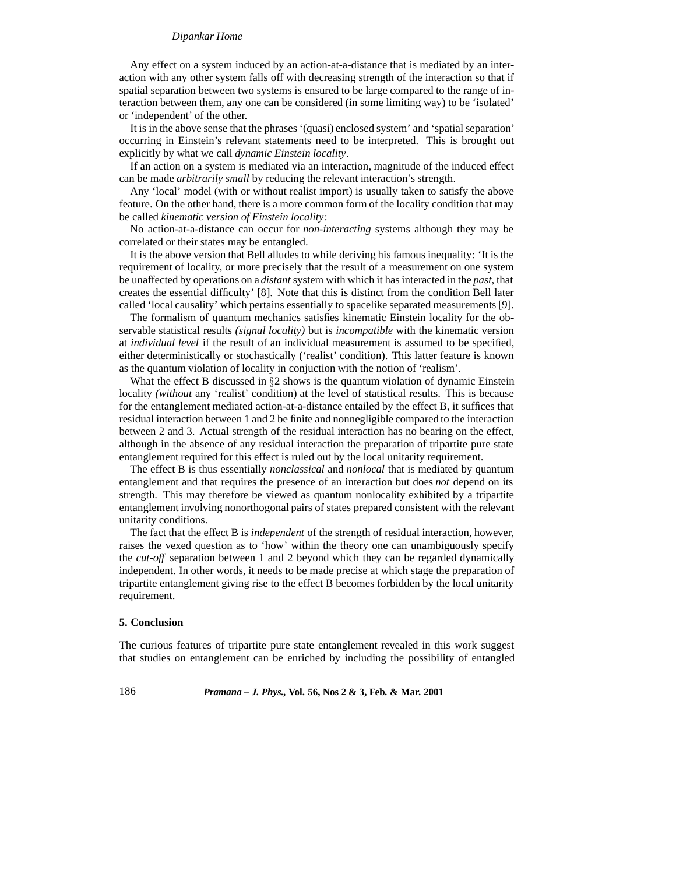#### *Dipankar Home*

Any effect on a system induced by an action-at-a-distance that is mediated by an interaction with any other system falls off with decreasing strength of the interaction so that if spatial separation between two systems is ensured to be large compared to the range of interaction between them, any one can be considered (in some limiting way) to be 'isolated' or 'independent' of the other.

It is in the above sense that the phrases '(quasi) enclosed system' and 'spatial separation' occurring in Einstein's relevant statements need to be interpreted. This is brought out explicitly by what we call *dynamic Einstein locality*.

If an action on a system is mediated via an interaction, magnitude of the induced effect can be made *arbitrarily small* by reducing the relevant interaction's strength.

Any 'local' model (with or without realist import) is usually taken to satisfy the above feature. On the other hand, there is a more common form of the locality condition that may be called *kinematic version of Einstein locality*:

No action-at-a-distance can occur for *non-interacting* systems although they may be correlated or their states may be entangled.

It is the above version that Bell alludes to while deriving his famous inequality: 'It is the requirement of locality, or more precisely that the result of a measurement on one system be unaffected by operations on a *distant* system with which it has interacted in the *past*, that creates the essential difficulty' [8]. Note that this is distinct from the condition Bell later called 'local causality' which pertains essentially to spacelike separated measurements [9].

The formalism of quantum mechanics satisfies kinematic Einstein locality for the observable statistical results *(signal locality)* but is *incompatible* with the kinematic version at *individual level* if the result of an individual measurement is assumed to be specified, either deterministically or stochastically ('realist' condition). This latter feature is known as the quantum violation of locality in conjuction with the notion of 'realism'.

What the effect B discussed in  $\S 2$  shows is the quantum violation of dynamic Einstein locality *(without* any 'realist' condition) at the level of statistical results. This is because for the entanglement mediated action-at-a-distance entailed by the effect B, it suffices that residual interaction between 1 and 2 be finite and nonnegligible compared to the interaction between 2 and 3. Actual strength of the residual interaction has no bearing on the effect, although in the absence of any residual interaction the preparation of tripartite pure state entanglement required for this effect is ruled out by the local unitarity requirement.

The effect B is thus essentially *nonclassical* and *nonlocal* that is mediated by quantum entanglement and that requires the presence of an interaction but does *not* depend on its strength. This may therefore be viewed as quantum nonlocality exhibited by a tripartite entanglement involving nonorthogonal pairs of states prepared consistent with the relevant unitarity conditions.

The fact that the effect B is *independent* of the strength of residual interaction, however, raises the vexed question as to 'how' within the theory one can unambiguously specify the *cut-off* separation between 1 and 2 beyond which they can be regarded dynamically independent. In other words, it needs to be made precise at which stage the preparation of tripartite entanglement giving rise to the effect B becomes forbidden by the local unitarity requirement.

#### **5. Conclusion**

The curious features of tripartite pure state entanglement revealed in this work suggest that studies on entanglement can be enriched by including the possibility of entangled